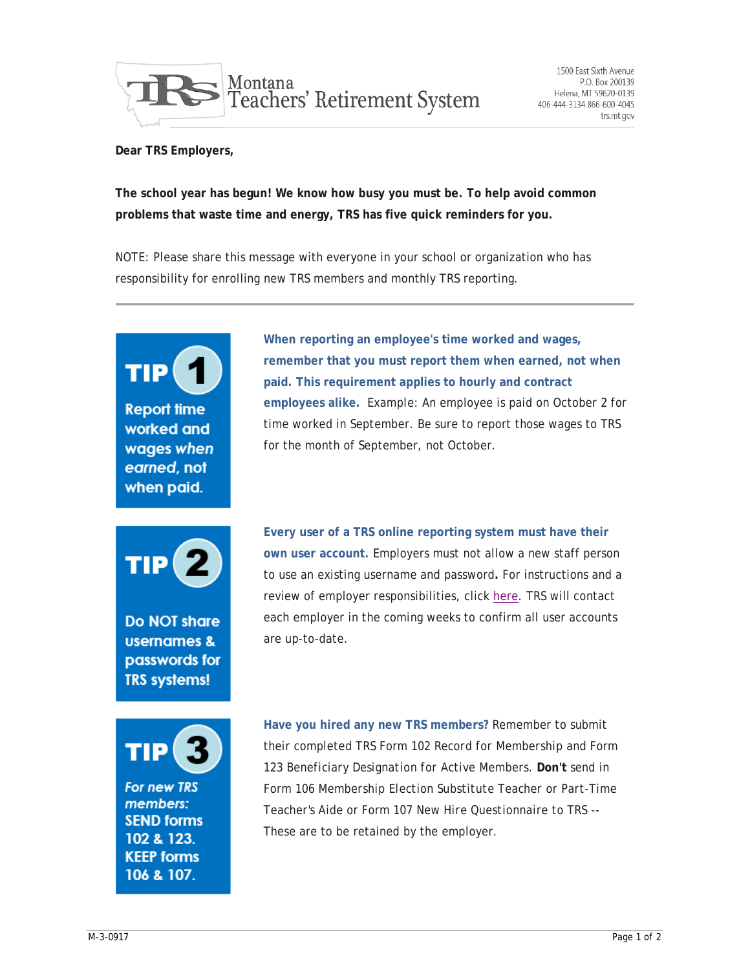

**Dear TRS Employers,**

**The school year has begun! We know how busy you must be. To help avoid common problems that waste time and energy, TRS has five quick reminders for you.**

NOTE: Please share this message with everyone in your school or organization who has responsibility for enrolling new TRS members and monthly TRS reporting.

TIP **Report time** worked and wages when earned, not when paid. **Do NOT share usernames &** passwords for **TRS systems! For new TRS** members: **SEND forms** 102 & 123 **KEEP forms** 106 & 107.

**When reporting an employee's time worked and wages, remember that you must report them when earned, not when paid. This requirement applies to hourly and contract employees alike.** *Example:* An employee is paid on October 2 for time worked in September. Be sure to report those wages to TRS for the month of September, not October.

**Every user of a TRS online reporting system must have their own user account.** Employers must not allow a new staff person to use an existing username and password**.** For instructions and a review of employer responsibilities, click [here.](https://trs.mt.gov/trs-info/EmployerAccountSetUp) TRS will contact each employer in the coming weeks to confirm all user accounts are up-to-date.

**Have you hired any new TRS members?** Remember to submit their completed TRS Form 102 *Record for Membership* and Form 123 *Beneficiary Designation for Active Members*. **Don't** send in Form 106 *Membership Election Substitute Teacher or Part-Time Teacher's Aide* or Form 107 *New Hire Questionnaire to TRS* -- These are to be retained by the employer.